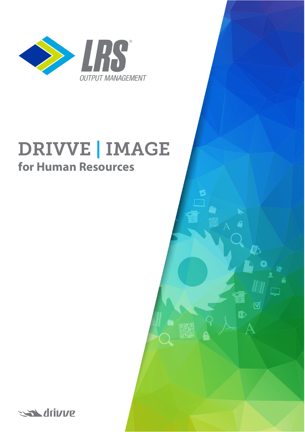

# **DRIVVE | IMAGE for Human Resources**

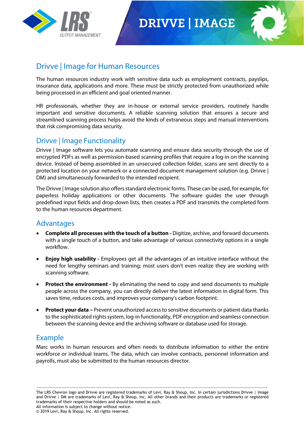

### **DRIVVE | IMAGE**



#### Drivve | Image for Human Resources

The human resources industry work with sensitive data such as employment contracts, payslips, insurance data, applications and more. These must be strictly protected from unauthorized while being processed in an efficient and goal oriented manner.

HR professionals, whether they are in-house or external service providers, routinely handle important and sensitive documents. A reliable scanning solution that ensures a secure and streamlined scanning process helps avoid the kinds of extraneous steps and manual interventions that risk compromising data security.

#### Drivve | Image Functionality

Drivve | Image software lets you automate scanning and ensure data security through the use of encrypted PDFs as well as permission-based scanning profiles that require a log-in on the scanning device. Instead of being assembled in an unsecured collection folder, scans are sent directly to a protected location on your network or a connected document management solution (e.g. Drivve | DM) and simultaneously forwarded to the intended recipient.

The Drivve | Image solution also offers standard electronic forms. These can be used, for example, for paperless holiday applications or other documents. The software guides the user through predefined input fields and drop-down lists, then creates a PDF and transmits the completed form to the human resources department.

#### Advantages

- **Complete all processes with the touch of a button -** Digitize, archive, and forward documents with a single touch of a button, and take advantage of various connectivity options in a single workflow.
- **Enjoy high usability -** Employees get all the advantages of an intuitive interface without the need for lengthy seminars and training; most users don't even realize they are working with scanning software.
- **Protect the environment -** By eliminating the need to copy and send documents to multiple people across the company, you can directly deliver the latest information in digital form. This saves time, reduces costs, and improves your company's carbon footprint.
- **Protect your data –** Prevent unauthorized access to sensitive documents or patient data thanks to the sophisticated rights system, log-in functionality, PDF encryption and seamless connection between the scanning device and the archiving software or database used for storage.

#### Example

Marc works in human resources and often needs to distribute information to either the entire workforce or individual teams. The data, which can involve contracts, personnel information and payrolls, must also be submitted to the human resources director.

------------------------------------------------------------------------------------------------------------------------------------------------------ The LRS Chevron logo and Drivve are registered trademarks of Levi, Ray & Shoup, Inc. In certain jurisdictions Drivve | Image and Drivve | DM are trademarks of Levi, Ray & Shoup, Inc. All other brands and their products are trademarks or registered trademarks of their respective holders and should be noted as such. All information is subject to change without notice.

© 2019 Levi, Ray & Shoup, Inc. All rights reserved.